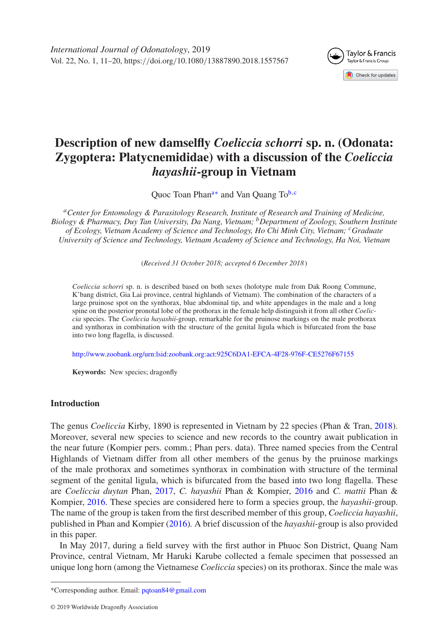<span id="page-0-3"></span>

# **Description of new damselfly** *Coeliccia schorri* **sp. n. (Odonata: Zygoptera: Platycnemididae) with a discussion of the** *Coeliccia hayashii***-group in Vietnam**

<span id="page-0-2"></span>Quoc Toan Phan<sup>a[∗](#page-0-1)</sup> and Van Quang To<sup>b,[c](#page-0-3)</sup>

<span id="page-0-0"></span>*aCenter for Entomology & Parasitology Research, Institute of Research and Training of Medicine, Biology & Pharmacy, Duy Tan University, Da Nang, Vietnam; bDepartment of Zoology, Southern Institute of Ecology, Vietnam Academy of Science and Technology, Ho Chi Minh City, Vietnam; cGraduate University of Science and Technology, Vietnam Academy of Science and Technology, Ha Noi, Vietnam*

(*Received 31 October 2018; accepted 6 December 2018*)

*Coeliccia schorri* sp. n. is described based on both sexes (holotype male from Dak Roong Commune, K'bang district, Gia Lai province, central highlands of Vietnam). The combination of the characters of a large pruinose spot on the synthorax, blue abdominal tip, and white appendages in the male and a long spine on the posterior pronotal lobe of the prothorax in the female help distinguish it from all other *Coeliccia* species. The *Coeliccia hayashii*-group, remarkable for the pruinose markings on the male prothorax and synthorax in combination with the structure of the genital ligula which is bifurcated from the base into two long flagella, is discussed.

<http://www.zoobank.org/urn:lsid:zoobank.org:act:925C6DA1-EFCA-4F28-976F-CE5276F67155>

**Keywords:** New species; dragonfly

# **Introduction**

The genus *Coeliccia* Kirby, 1890 is represented in Vietnam by 22 species (Phan & Tran, [2018\)](#page-9-0). Moreover, several new species to science and new records to the country await publication in the near future (Kompier pers. comm.; Phan pers. data). Three named species from the Central Highlands of Vietnam differ from all other members of the genus by the pruinose markings of the male prothorax and sometimes synthorax in combination with structure of the terminal segment of the genital ligula, which is bifurcated from the based into two long flagella. These are *Coeliccia duytan* Phan, [2017,](#page-9-1) *C. hayashii* Phan & Kompier, [2016](#page-9-2) and *C. mattii* Phan & Kompier, [2016.](#page-9-2) These species are considered here to form a species group, the *hayashii-*group. The name of the group is taken from the first described member of this group, *Coeliccia hayashii*, published in Phan and Kompier [\(2016\)](#page-9-2)*.* A brief discussion of the *hayashii*-group is also provided in this paper.

In May 2017, during a field survey with the first author in Phuoc Son District, Quang Nam Province, central Vietnam, Mr Haruki Karube collected a female specimen that possessed an unique long horn (among the Vietnamese *Coeliccia* species) on its prothorax. Since the male was

<span id="page-0-1"></span><sup>\*</sup>Corresponding author. Email: [pqtoan84@gmail.com](mailto:pqtoan84@gmail.com)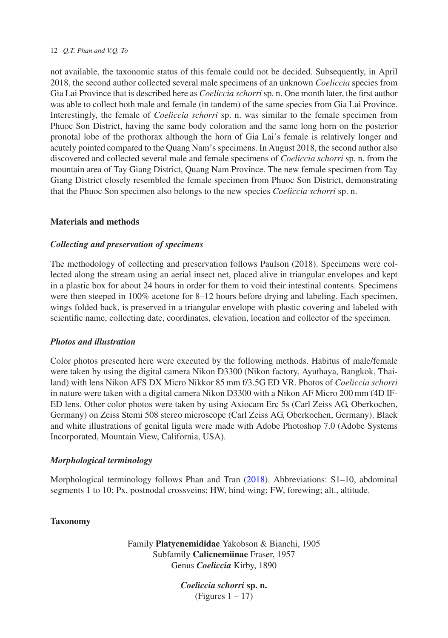not available, the taxonomic status of this female could not be decided. Subsequently, in April 2018, the second author collected several male specimens of an unknown *Coeliccia* species from Gia Lai Province that is described here as *Coeliccia schorri* sp. n. One month later, the first author was able to collect both male and female (in tandem) of the same species from Gia Lai Province. Interestingly, the female of *Coeliccia schorri* sp. n. was similar to the female specimen from Phuoc Son District, having the same body coloration and the same long horn on the posterior pronotal lobe of the prothorax although the horn of Gia Lai's female is relatively longer and acutely pointed compared to the Quang Nam's specimens. In August 2018, the second author also discovered and collected several male and female specimens of *Coeliccia schorri* sp. n. from the mountain area of Tay Giang District, Quang Nam Province. The new female specimen from Tay Giang District closely resembled the female specimen from Phuoc Son District, demonstrating that the Phuoc Son specimen also belongs to the new species *Coeliccia schorri* sp. n.

# **Materials and methods**

# *Collecting and preservation of specimens*

The methodology of collecting and preservation follows Paulson (2018). Specimens were collected along the stream using an aerial insect net, placed alive in triangular envelopes and kept in a plastic box for about 24 hours in order for them to void their intestinal contents. Specimens were then steeped in 100% acetone for 8–12 hours before drying and labeling. Each specimen, wings folded back, is preserved in a triangular envelope with plastic covering and labeled with scientific name, collecting date, coordinates, elevation, location and collector of the specimen.

#### *Photos and illustration*

Color photos presented here were executed by the following methods. Habitus of male/female were taken by using the digital camera Nikon D3300 (Nikon factory, Ayuthaya, Bangkok, Thailand) with lens Nikon AFS DX Micro Nikkor 85 mm f/3.5G ED VR. Photos of *Coeliccia schorri* in nature were taken with a digital camera Nikon D3300 with a Nikon AF Micro 200 mm f4D IF-ED lens. Other color photos were taken by using Axiocam Erc 5s (Carl Zeiss AG, Oberkochen, Germany) on Zeiss Stemi 508 stereo microscope (Carl Zeiss AG, Oberkochen, Germany). Black and white illustrations of genital ligula were made with Adobe Photoshop 7.0 (Adobe Systems Incorporated, Mountain View, California, USA).

# *Morphological terminology*

Morphological terminology follows Phan and Tran [\(2018\)](#page-9-0). Abbreviations: S1–10, abdominal segments 1 to 10; Px, postnodal crossveins; HW, hind wing; FW, forewing; alt., altitude.

#### **Taxonomy**

Family **Platycnemididae** Yakobson & Bianchi, 1905 Subfamily **Calicnemiinae** Fraser, 1957 Genus *Coeliccia* Kirby, 1890

> *Coeliccia schorri* **sp. n.**  $(Figures 1 – 17)$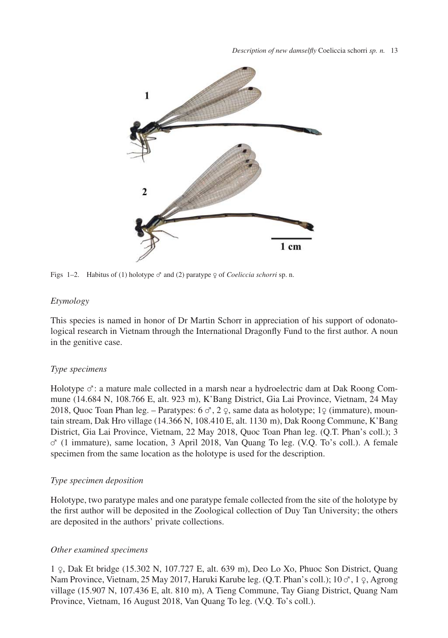

Figs 1–2. Habitus of (1) holotype ♂ and (2) paratype ♀ of *Coeliccia schorri* sp. n.

#### *Etymology*

This species is named in honor of Dr Martin Schorr in appreciation of his support of odonatological research in Vietnam through the International Dragonfly Fund to the first author. A noun in the genitive case.

# *Type specimens*

Holotype  $\sigma$ : a mature male collected in a marsh near a hydroelectric dam at Dak Roong Commune (14.684 N, 108.766 E, alt. 923 m), K'Bang District, Gia Lai Province, Vietnam, 24 May 2018, Quoc Toan Phan leg. – Paratypes:  $6 \text{ } \sigma$ ,  $2 \text{ } \circ$ , same data as holotype; 1 $\circ$  (immature), mountain stream, Dak Hro village (14.366 N, 108.410 E, alt. 1130 m), Dak Roong Commune, K'Bang District, Gia Lai Province, Vietnam, 22 May 2018, Quoc Toan Phan leg. (Q.T. Phan's coll.); 3 ♂ (1 immature), same location, 3 April 2018, Van Quang To leg. (V.Q. To's coll.). A female specimen from the same location as the holotype is used for the description.

# *Type specimen deposition*

Holotype, two paratype males and one paratype female collected from the site of the holotype by the first author will be deposited in the Zoological collection of Duy Tan University; the others are deposited in the authors' private collections.

# *Other examined specimens*

1 ♀, Dak Et bridge (15.302 N, 107.727 E, alt. 639 m), Deo Lo Xo, Phuoc Son District, Quang Nam Province, Vietnam, 25 May 2017, Haruki Karube leg. (Q.T. Phan's coll.); 10 ♂, 1 ♀, Agrong village (15.907 N, 107.436 E, alt. 810 m), A Tieng Commune, Tay Giang District, Quang Nam Province, Vietnam, 16 August 2018, Van Quang To leg. (V.Q. To's coll.).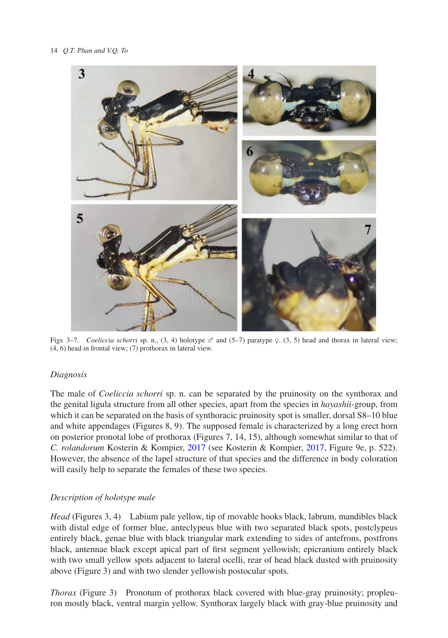

Figs 3–7. *Coeliccia schorri* sp. n., (3, 4) holotype  $\sigma$  and (5–7) paratype  $\Omega$ , (3, 5) head and thorax in lateral view; (4, 6) head in frontal view; (7) prothorax in lateral view.

# *Diagnosis*

The male of *Coeliccia schorri* sp. n. can be separated by the pruinosity on the synthorax and the genital ligula structure from all other species, apart from the species in *hayashii-*group, from which it can be separated on the basis of synthoracic pruinosity spot is smaller, dorsal S8–10 blue and white appendages (Figures 8, 9). The supposed female is characterized by a long erect horn on posterior pronotal lobe of prothorax (Figures 7, 14, 15), although somewhat similar to that of *C. rolandorum* Kosterin & Kompier, [2017](#page-9-3) (see Kosterin & Kompier, [2017,](#page-9-3) Figure 9e, p. 522). However, the absence of the lapel structure of that species and the difference in body coloration will easily help to separate the females of these two species.

# *Description of holotype male*

*Head* (Figures 3, 4) Labium pale yellow, tip of movable hooks black, labrum, mandibles black with distal edge of former blue, anteclypeus blue with two separated black spots, postclypeus entirely black, genae blue with black triangular mark extending to sides of antefrons, postfrons black, antennae black except apical part of first segment yellowish; epicranium entirely black with two small yellow spots adjacent to lateral ocelli, rear of head black dusted with pruinosity above (Figure 3) and with two slender yellowish postocular spots.

*Thorax* (Figure 3) Pronotum of prothorax black covered with blue-gray pruinosity; propleuron mostly black, ventral margin yellow. Synthorax largely black with gray-blue pruinosity and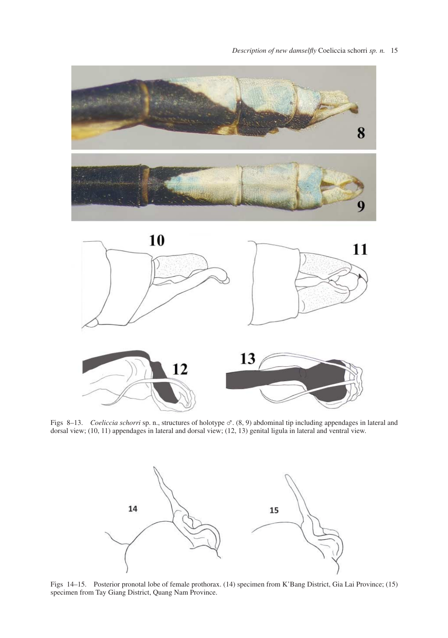

Figs 8–13. *Coeliccia schorri* sp. n., structures of holotype ♂. (8, 9) abdominal tip including appendages in lateral and dorsal view; (10, 11) appendages in lateral and dorsal view; (12, 13) genital ligula in lateral and ventral view.



Figs 14–15. Posterior pronotal lobe of female prothorax. (14) specimen from K'Bang District, Gia Lai Province; (15) specimen from Tay Giang District, Quang Nam Province.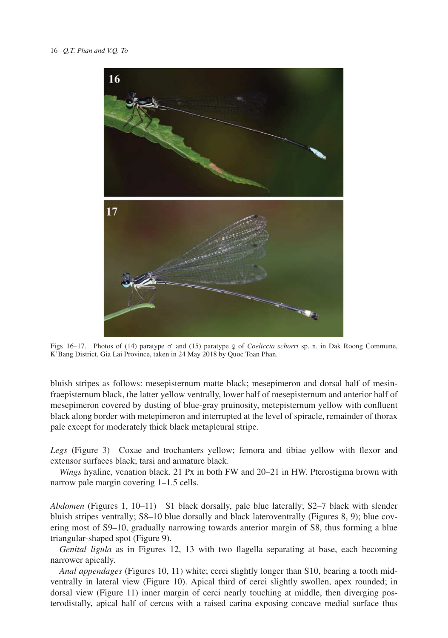

Figs 16–17. Photos of (14) paratype ♂ and (15) paratype ♀ of *Coeliccia schorri* sp. n. in Dak Roong Commune, K'Bang District, Gia Lai Province, taken in 24 May 2018 by Quoc Toan Phan.

bluish stripes as follows: mesepisternum matte black; mesepimeron and dorsal half of mesinfraepisternum black, the latter yellow ventrally, lower half of mesepisternum and anterior half of mesepimeron covered by dusting of blue-gray pruinosity, metepisternum yellow with confluent black along border with metepimeron and interrupted at the level of spiracle, remainder of thorax pale except for moderately thick black metapleural stripe.

*Legs* (Figure 3) Coxae and trochanters yellow; femora and tibiae yellow with flexor and extensor surfaces black; tarsi and armature black.

*Wings* hyaline, venation black. 21 Px in both FW and 20–21 in HW. Pterostigma brown with narrow pale margin covering 1–1.5 cells.

*Abdomen* (Figures 1, 10–11) S1 black dorsally, pale blue laterally; S2–7 black with slender bluish stripes ventrally; S8–10 blue dorsally and black lateroventrally (Figures 8, 9); blue covering most of S9–10, gradually narrowing towards anterior margin of S8, thus forming a blue triangular-shaped spot (Figure 9).

*Genital ligula* as in Figures 12, 13 with two flagella separating at base, each becoming narrower apically.

*Anal appendages* (Figures 10, 11) white; cerci slightly longer than S10, bearing a tooth midventrally in lateral view (Figure 10). Apical third of cerci slightly swollen, apex rounded; in dorsal view (Figure 11) inner margin of cerci nearly touching at middle, then diverging posterodistally, apical half of cercus with a raised carina exposing concave medial surface thus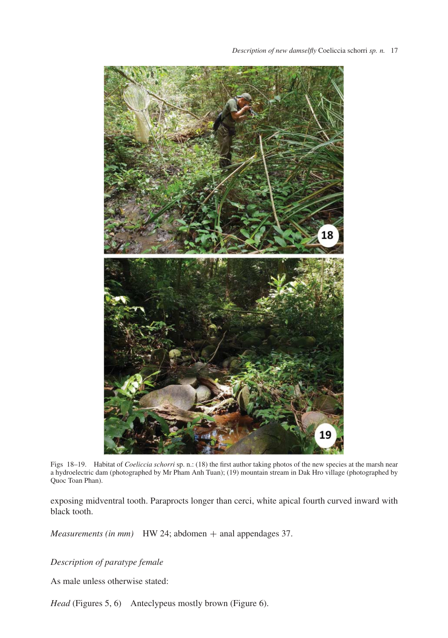

Figs 18–19. Habitat of *Coeliccia schorri* sp. n.: (18) the first author taking photos of the new species at the marsh near a hydroelectric dam (photographed by Mr Pham Anh Tuan); (19) mountain stream in Dak Hro village (photographed by Quoc Toan Phan).

exposing midventral tooth. Paraprocts longer than cerci, white apical fourth curved inward with black tooth.

*Measurements (in mm)* HW 24; abdomen + anal appendages 37.

*Description of paratype female*

As male unless otherwise stated:

*Head* (Figures 5, 6) Anteclypeus mostly brown (Figure 6).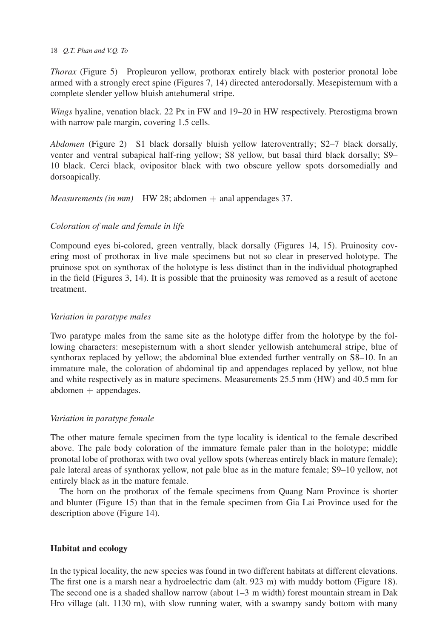*Thorax* (Figure 5) Propleuron yellow, prothorax entirely black with posterior pronotal lobe armed with a strongly erect spine (Figures 7, 14) directed anterodorsally. Mesepisternum with a complete slender yellow bluish antehumeral stripe.

*Wings* hyaline, venation black. 22 Px in FW and 19–20 in HW respectively. Pterostigma brown with narrow pale margin, covering 1.5 cells.

*Abdomen* (Figure 2) S1 black dorsally bluish yellow lateroventrally; S2–7 black dorsally, venter and ventral subapical half-ring yellow; S8 yellow, but basal third black dorsally; S9– 10 black. Cerci black, ovipositor black with two obscure yellow spots dorsomedially and dorsoapically.

*Measurements (in mm)* HW 28; abdomen  $+$  anal appendages 37.

# *Coloration of male and female in life*

Compound eyes bi-colored, green ventrally, black dorsally (Figures 14, 15). Pruinosity covering most of prothorax in live male specimens but not so clear in preserved holotype. The pruinose spot on synthorax of the holotype is less distinct than in the individual photographed in the field (Figures 3, 14). It is possible that the pruinosity was removed as a result of acetone treatment.

# *Variation in paratype males*

Two paratype males from the same site as the holotype differ from the holotype by the following characters: mesepisternum with a short slender yellowish antehumeral stripe, blue of synthorax replaced by yellow; the abdominal blue extended further ventrally on S8–10. In an immature male, the coloration of abdominal tip and appendages replaced by yellow, not blue and white respectively as in mature specimens. Measurements 25.5 mm (HW) and 40.5 mm for  $abdomen + appendages.$ 

# *Variation in paratype female*

The other mature female specimen from the type locality is identical to the female described above. The pale body coloration of the immature female paler than in the holotype; middle pronotal lobe of prothorax with two oval yellow spots (whereas entirely black in mature female); pale lateral areas of synthorax yellow, not pale blue as in the mature female; S9–10 yellow, not entirely black as in the mature female.

The horn on the prothorax of the female specimens from Quang Nam Province is shorter and blunter (Figure 15) than that in the female specimen from Gia Lai Province used for the description above (Figure 14).

# **Habitat and ecology**

In the typical locality, the new species was found in two different habitats at different elevations. The first one is a marsh near a hydroelectric dam (alt. 923 m) with muddy bottom (Figure 18). The second one is a shaded shallow narrow (about 1–3 m width) forest mountain stream in Dak Hro village (alt. 1130 m), with slow running water, with a swampy sandy bottom with many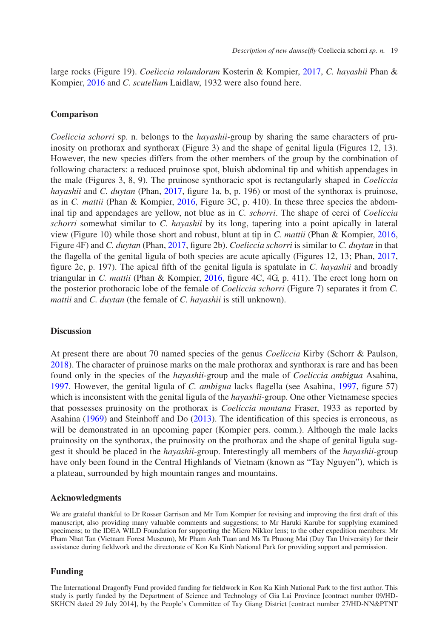large rocks (Figure 19). *Coeliccia rolandorum* Kosterin & Kompier, [2017,](#page-9-3) *C. hayashii* Phan & Kompier, [2016](#page-9-2) and *C. scutellum* Laidlaw, 1932 were also found here.

#### **Comparison**

*Coeliccia schorri* sp. n. belongs to the *hayashii-*group by sharing the same characters of pruinosity on prothorax and synthorax (Figure 3) and the shape of genital ligula (Figures 12, 13). However, the new species differs from the other members of the group by the combination of following characters: a reduced pruinose spot, bluish abdominal tip and whitish appendages in the male (Figures 3, 8, 9). The pruinose synthoracic spot is rectangularly shaped in *Coeliccia hayashii* and *C. duytan* (Phan, [2017,](#page-9-1) figure 1a, b, p. 196) or most of the synthorax is pruinose, as in *C. mattii* (Phan & Kompier, [2016,](#page-9-2) Figure 3C, p. 410). In these three species the abdominal tip and appendages are yellow, not blue as in *C. schorri*. The shape of cerci of *Coeliccia schorri* somewhat similar to *C. hayashii* by its long, tapering into a point apically in lateral view (Figure 10) while those short and robust, blunt at tip in *C. mattii* (Phan & Kompier, [2016,](#page-9-2) Figure 4F) and *C. duytan* (Phan, [2017,](#page-9-1) figure 2b). *Coeliccia schorri* is similar to *C. duytan* in that the flagella of the genital ligula of both species are acute apically (Figures 12, 13; Phan, [2017,](#page-9-1) figure 2c, p. 197). The apical fifth of the genital ligula is spatulate in *C. hayashii* and broadly triangular in *C. mattii* (Phan & Kompier, [2016,](#page-9-2) figure 4C, 4G, p. 411). The erect long horn on the posterior prothoracic lobe of the female of *Coeliccia schorri* (Figure 7) separates it from *C. mattii* and *C. duytan* (the female of *C. hayashii* is still unknown).

#### **Discussion**

At present there are about 70 named species of the genus *Coeliccia* Kirby (Schorr & Paulson, [2018\)](#page-9-4). The character of pruinose marks on the male prothorax and synthorax is rare and has been found only in the species of the *hayashii*-group and the male of *Coeliccia ambigua* Asahina, [1997.](#page-9-5) However, the genital ligula of *C. ambigua* lacks flagella (see Asahina, [1997,](#page-9-5) figure 57) which is inconsistent with the genital ligula of the *hayashii*-group. One other Vietnamese species that possesses pruinosity on the prothorax is *Coeliccia montana* Fraser, 1933 as reported by Asahina [\(1969\)](#page-9-6) and Steinhoff and Do [\(2013\)](#page-9-7). The identification of this species is erroneous, as will be demonstrated in an upcoming paper (Kompier pers. comm.). Although the male lacks pruinosity on the synthorax, the pruinosity on the prothorax and the shape of genital ligula suggest it should be placed in the *hayashii*-group. Interestingly all members of the *hayashii*-group have only been found in the Central Highlands of Vietnam (known as "Tay Nguyen"), which is a plateau, surrounded by high mountain ranges and mountains.

#### **Acknowledgments**

We are grateful thankful to Dr Rosser Garrison and Mr Tom Kompier for revising and improving the first draft of this manuscript, also providing many valuable comments and suggestions; to Mr Haruki Karube for supplying examined specimens; to the IDEA WILD Foundation for supporting the Micro Nikkor lens; to the other expedition members: Mr Pham Nhat Tan (Vietnam Forest Museum), Mr Pham Anh Tuan and Ms Ta Phuong Mai (Duy Tan University) for their assistance during fieldwork and the directorate of Kon Ka Kinh National Park for providing support and permission.

#### **Funding**

The International Dragonfly Fund provided funding for fieldwork in Kon Ka Kinh National Park to the first author. This study is partly funded by the Department of Science and Technology of Gia Lai Province [contract number 09/HD-SKHCN dated 29 July 2014], by the People's Committee of Tay Giang District [contract number 27/HD-NN&PTNT